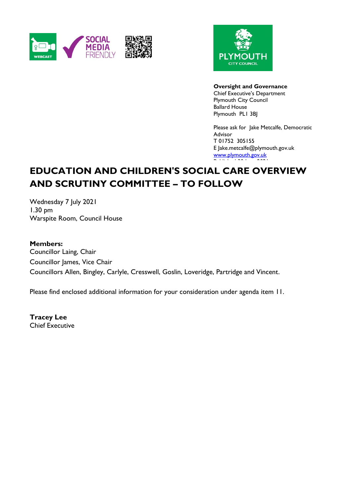



**Oversight and Governance**

Chief Executive's Department Plymouth City Council Ballard House Plymouth PL1 3BJ

Please ask for Jake Metcalfe, Democratic Advisor T 01752 305155 E Jake.metcalfe@plymouth.gov.uk [www.plymouth.gov.uk](https://www.plymouth.gov.uk/councillorscommitteesandmeetings) Published 30 June 2021

# **EDUCATION AND CHILDREN'S SOCIAL CARE OVERVIEW AND SCRUTINY COMMITTEE – TO FOLLOW**

Wednesday 7 July 2021 1.30 pm Warspite Room, Council House

#### **Members:**

Councillor Laing, Chair Councillor James, Vice Chair Councillors Allen, Bingley, Carlyle, Cresswell, Goslin, Loveridge, Partridge and Vincent.

Please find enclosed additional information for your consideration under agenda item 11.

**Tracey Lee** Chief Executive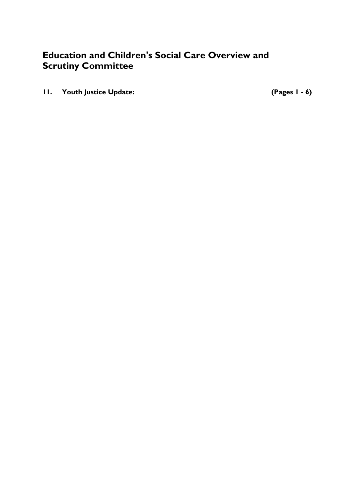# **Education and Children's Social Care Overview and Scrutiny Committee**

**11. Youth Justice Update: (Pages 1 - 6)**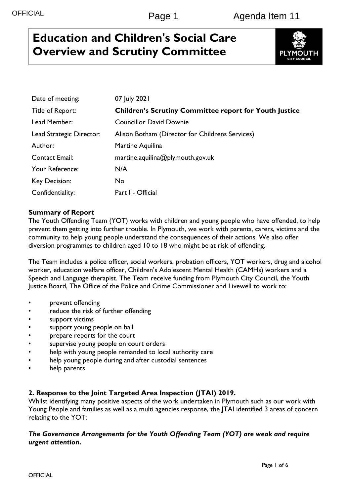# **Education and Children's Social Care Overview and Scrutiny Committee**



| Date of meeting:         | 07 July 2021                                                  |
|--------------------------|---------------------------------------------------------------|
| Title of Report:         | <b>Children's Scrutiny Committee report for Youth Justice</b> |
| Lead Member:             | <b>Councillor David Downie</b>                                |
| Lead Strategic Director: | Alison Botham (Director for Childrens Services)               |
| Author:                  | Martine Aquilina                                              |
| <b>Contact Email:</b>    | martine.aquilina@plymouth.gov.uk                              |
| Your Reference:          | N/A                                                           |
| Key Decision:            | <b>No</b>                                                     |
| Confidentiality:         | Part I - Official                                             |

### **Summary of Report**

The Youth Offending Team (YOT) works with children and young people who have offended, to help prevent them getting into further trouble. In Plymouth, we work with parents, carers, victims and the community to help young people understand the consequences of their actions. We also offer diversion programmes to children aged 10 to 18 who might be at risk of offending.

The Team includes a police officer, social workers, probation officers, YOT workers, drug and alcohol worker, education welfare officer, Children's Adolescent Mental Health (CAMHs) workers and a Speech and Language therapist. The Team receive funding from Plymouth City Council, the Youth Justice Board, The Office of the Police and Crime Commissioner and Livewell to work to:

- prevent offending
- reduce the risk of further offending
- support victims
- support young people on bail
- prepare reports for the court
- supervise young people on court orders
- help with young people remanded to local authority care
- help young people during and after custodial sentences
- help parents

### **2. Response to the Joint Targeted Area Inspection (JTAI) 2019.**

Whilst identifying many positive aspects of the work undertaken in Plymouth such as our work with Young People and families as well as a multi agencies response, the JTAI identified 3 areas of concern relating to the YOT;

#### *The Governance Arrangements for the Youth Offending Team (YOT) are weak and require urgent attention***.**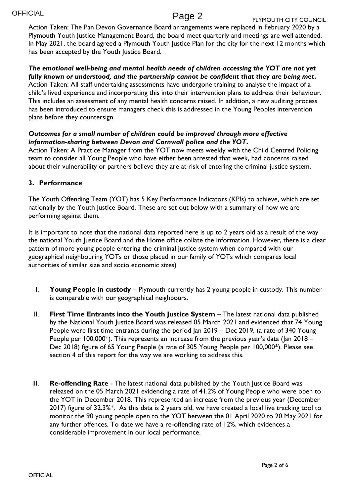Action Taken: The Pan Devon Governance Board arrangements were replaced in February 2020 by a Plymouth Youth Justice Management Board, the board meet quarterly and meetings are well attended. In May 2021, the board agreed a Plymouth Youth Justice Plan for the city for the next 12 months which has been accepted by the Youth Justice Board.

#### *The emotional well-being and mental health needs of children accessing the YOT are not yet fully known or understood, and the partnership cannot be confident that they are being met***.**

Action Taken: All staff undertaking assessments have undergone training to analyse the impact of a child's lived experience and incorporating this into their intervention plans to address their behaviour. This includes an assessment of any mental health concerns raised. In addition, a new auditing process has been introduced to ensure managers check this is addressed in the Young Peoples intervention plans before they countersign.

### *Outcomes for a small number of children could be improved through more effective information-sharing between Devon and Cornwall police and the YOT***.**

Action Taken: A Practice Manager from the YOT now meets weekly with the Child Centred Policing team to consider all Young People who have either been arrested that week, had concerns raised about their vulnerability or partners believe they are at risk of entering the criminal justice system.

#### **3. Performance**

The Youth Offending Team (YOT) has 5 Key Performance Indicators (KPIs) to achieve, which are set nationally by the Youth Justice Board. These are set out below with a summary of how we are performing against them.

It is important to note that the national data reported here is up to 2 years old as a result of the way the national Youth Justice Board and the Home office collate the information. However, there is a clear pattern of more young people entering the criminal justice system when compared with our geographical neighbouring YOTs or those placed in our family of YOTs which compares local authorities of similar size and socio economic sizes)

- I. **Young People in custody** Plymouth currently has 2 young people in custody. This number is comparable with our geographical neighbours.
- II. **First Time Entrants into the Youth Justice System** The latest national data published by the National Youth Justice Board was released 05 March 2021 and evidenced that 74 Young People were first time entrants during the period Jan 2019 – Dec 2019, (a rate of 340 Young People per 100,000<sup>\*</sup>). This represents an increase from the previous year's data (Jan 2018 – Dec 2018) figure of 65 Young People (a rate of 305 Young People per 100,000\*). Please see section 4 of this report for the way we are working to address this.
- III. **Re-offending Rate** The latest national data published by the Youth Justice Board was released on the 05 March 2021 evidencing a rate of 41.2% of Young People who were open to the YOT in December 2018. This represented an increase from the previous year (December 2017) figure of 32.3%\*. As this data is 2 years old, we have created a local live tracking tool to monitor the 90 young people open to the YOT between the 01 April 2020 to 20 May 2021 for any further offences. To date we have a re-offending rate of 12%, which evidences a considerable improvement in our local performance.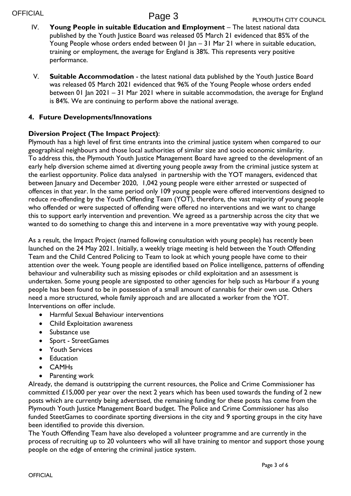**OFFICIAL** 

# Page 3

- IV. Young People in suitable Education and Employment The latest national data published by the Youth Justice Board was released 05 March 21 evidenced that 85% of the Young People whose orders ended between 01 Jan – 31 Mar 21 where in suitable education, training or employment, the average for England is 38%. This represents very positive performance.
- V. **Suitable Accommodation**  the latest national data published by the Youth Justice Board was released 05 March 2021 evidenced that 96% of the Young People whose orders ended between 01 Jan 2021 – 31 Mar 2021 where in suitable accommodation, the average for England is 84%. We are continuing to perform above the national average.

#### **4. Future Developments/Innovations**

#### **Diversion Project (The Impact Project)**:

Plymouth has a high level of first time entrants into the criminal justice system when compared to our geographical neighbours and those local authorities of similar size and socio economic similarity. To address this, the Plymouth Youth Justice Management Board have agreed to the development of an early help diversion scheme aimed at diverting young people away from the criminal justice system at the earliest opportunity. Police data analysed in partnership with the YOT managers, evidenced that between January and December 2020, 1,042 young people were either arrested or suspected of offences in that year. In the same period only 109 young people were offered interventions designed to reduce re-offending by the Youth Offending Team (YOT), therefore, the vast majority of young people who offended or were suspected of offending were offered no interventions and we want to change this to support early intervention and prevention. We agreed as a partnership across the city that we wanted to do something to change this and intervene in a more preventative way with young people.

As a result, the Impact Project (named following consultation with young people) has recently been launched on the 24 May 2021. Initially, a weekly triage meeting is held between the Youth Offending Team and the Child Centred Policing to Team to look at which young people have come to their attention over the week. Young people are identified based on Police intelligence, patterns of offending behaviour and vulnerability such as missing episodes or child exploitation and an assessment is undertaken. Some young people are signposted to other agencies for help such as Harbour if a young people has been found to be in possession of a small amount of cannabis for their own use. Others need a more structured, whole family approach and are allocated a worker from the YOT. Interventions on offer include.

- Harmful Sexual Behaviour interventions
- Child Exploitation awareness
- Substance use
- Sport StreetGames
- Youth Services
- Education
- CAMHs
- Parenting work

Already, the demand is outstripping the current resources, the Police and Crime Commissioner has committed £15,000 per year over the next 2 years which has been used towards the funding of 2 new posts which are currently being advertised, the remaining funding for these posts has come from the Plymouth Youth Justice Management Board budget. The Police and Crime Commissioner has also funded SteetGames to coordinate sporting diversions in the city and 9 sporting groups in the city have been identified to provide this diversion.

The Youth Offending Team have also developed a volunteer programme and are currently in the process of recruiting up to 20 volunteers who will all have training to mentor and support those young people on the edge of entering the criminal justice system.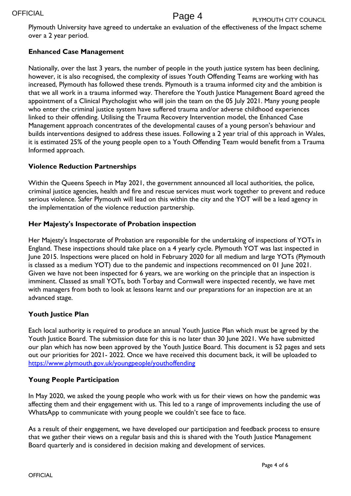Plymouth University have agreed to undertake an evaluation of the effectiveness of the Impact scheme over a 2 year period.

### **Enhanced Case Management**

Nationally, over the last 3 years, the number of people in the youth justice system has been declining, however, it is also recognised, the complexity of issues Youth Offending Teams are working with has increased, Plymouth has followed these trends. Plymouth is a trauma informed city and the ambition is that we all work in a trauma informed way. Therefore the Youth Justice Management Board agreed the appointment of a Clinical Psychologist who will join the team on the 05 July 2021. Many young people who enter the criminal justice system have suffered trauma and/or adverse childhood experiences linked to their offending. Utilising the Trauma Recovery Intervention model, the Enhanced Case Management approach concentrates of the developmental causes of a young person's behaviour and builds interventions designed to address these issues. Following a 2 year trial of this approach in Wales, it is estimated 25% of the young people open to a Youth Offending Team would benefit from a Trauma Informed approach.

#### **Violence Reduction Partnerships**

Within the Queens Speech in May 2021, the government announced all local authorities, the police, criminal justice agencies, health and fire and rescue services must work together to prevent and reduce serious violence. Safer Plymouth will lead on this within the city and the YOT will be a lead agency in the implementation of the violence reduction partnership.

#### **Her Majesty's Inspectorate of Probation inspection**

Her Majesty's Inspectorate of Probation are responsible for the undertaking of inspections of YOTs in England. These inspections should take place on a 4 yearly cycle. Plymouth YOT was last inspected in June 2015. Inspections were placed on hold in February 2020 for all medium and large YOTs (Plymouth is classed as a medium YOT) due to the pandemic and inspections recommenced on 01 June 2021. Given we have not been inspected for 6 years, we are working on the principle that an inspection is imminent. Classed as small YOTs, both Torbay and Cornwall were inspected recently, we have met with managers from both to look at lessons learnt and our preparations for an inspection are at an advanced stage.

#### **Youth Justice Plan**

Each local authority is required to produce an annual Youth Justice Plan which must be agreed by the Youth Justice Board. The submission date for this is no later than 30 June 2021. We have submitted our plan which has now been approved by the Youth Justice Board. This document is 52 pages and sets out our priorities for 2021- 2022. Once we have received this document back, it will be uploaded to <https://www.plymouth.gov.uk/youngpeople/youthoffending>

### **Young People Participation**

In May 2020, we asked the young people who work with us for their views on how the pandemic was affecting them and their engagement with us. This led to a range of improvements including the use of WhatsApp to communicate with young people we couldn't see face to face.

As a result of their engagement, we have developed our participation and feedback process to ensure that we gather their views on a regular basis and this is shared with the Youth Justice Management Board quarterly and is considered in decision making and development of services.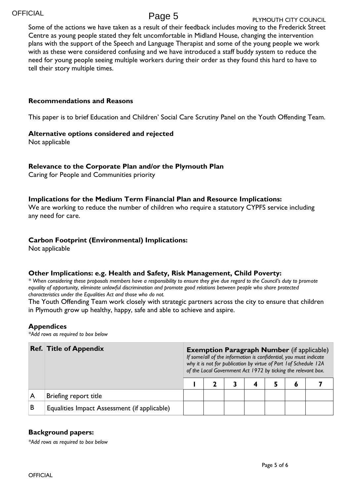Some of the actions we have taken as a result of their feedback includes moving to the Frederick Street Centre as young people stated they felt uncomfortable in Midland House, changing the intervention plans with the support of the Speech and Language Therapist and some of the young people we work with as these were considered confusing and we have introduced a staff buddy system to reduce the need for young people seeing multiple workers during their order as they found this hard to have to tell their story multiple times.

#### **Recommendations and Reasons**

This paper is to brief Education and Children' Social Care Scrutiny Panel on the Youth Offending Team.

#### **Alternative options considered and rejected**

Not applicable

#### **Relevance to the Corporate Plan and/or the Plymouth Plan**

Caring for People and Communities priority

#### **Implications for the Medium Term Financial Plan and Resource Implications:**

We are working to reduce the number of children who require a statutory CYPFS service including any need for care.

#### **Carbon Footprint (Environmental) Implications:**

Not applicable

#### **Other Implications: e.g. Health and Safety, Risk Management, Child Poverty:**

*\* When considering these proposals members have a responsibility to ensure they give due regard to the Council's duty to promote equality of opportunity, eliminate unlawful discrimination and promote good relations between people who share protected characteristics under the Equalities Act and those who do not.*

The Youth Offending Team work closely with strategic partners across the city to ensure that children in Plymouth grow up healthy, happy, safe and able to achieve and aspire.

#### **Appendices**

*\*Add rows as required to box below*

|   | <b>Ref. Title of Appendix</b>                |  | <b>Exemption Paragraph Number</b> (if applicable)<br>If some/all of the information is confidential, you must indicate<br>why it is not for publication by virtue of Part 1 of Schedule 12A<br>of the Local Government Act 1972 by ticking the relevant box. |  |  |  |  |  |  |  |  |
|---|----------------------------------------------|--|--------------------------------------------------------------------------------------------------------------------------------------------------------------------------------------------------------------------------------------------------------------|--|--|--|--|--|--|--|--|
|   |                                              |  |                                                                                                                                                                                                                                                              |  |  |  |  |  |  |  |  |
|   | Briefing report title                        |  |                                                                                                                                                                                                                                                              |  |  |  |  |  |  |  |  |
| B | Equalities Impact Assessment (if applicable) |  |                                                                                                                                                                                                                                                              |  |  |  |  |  |  |  |  |

#### **Background papers:**

*\*Add rows as required to box below*